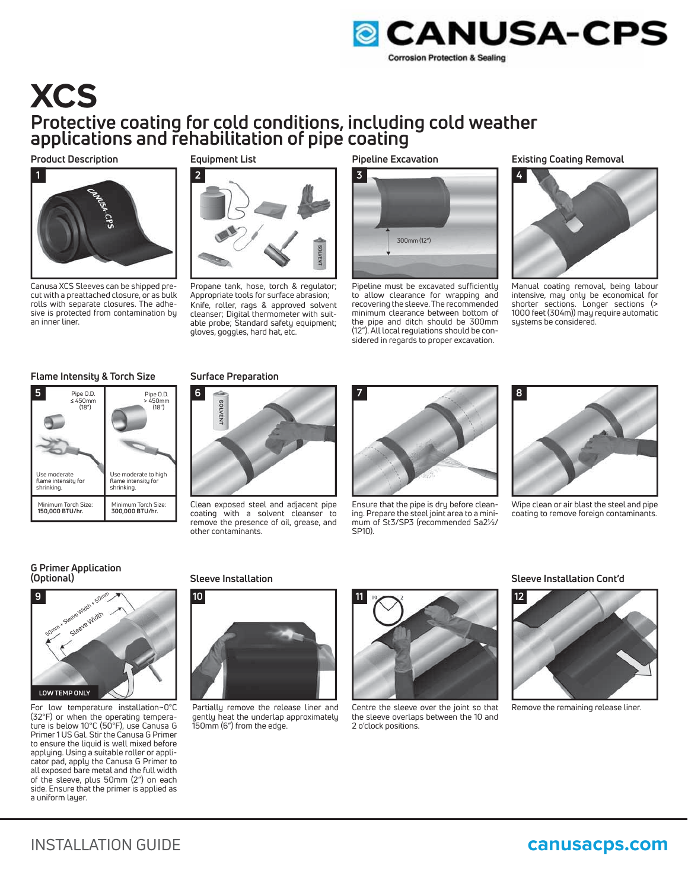

# **XCS Protective coating for cold conditions, including cold weather applications and rehabilitation of pipe coating**

**Product Description**



Canusa XCS Sleeves can be shipped precut with a preattached closure, or as bulk rolls with separate closures. The adhesive is protected from contamination by an inner liner.

# **Equipment List**



Propane tank, hose, torch & regulator; Appropriate tools for surface abrasion; Knife, roller, rags & approved solvent cleanser; Digital thermometer with suitable probe; Standard safety equipment; gloves, goggles, hard hat, etc.

# **Pipeline Excavation**



Pipeline must be excavated sufficiently to allow clearance for wrapping and recovering the sleeve. The recommended minimum clearance between bottom of the pipe and ditch should be 300mm (12"). All local regulations should be considered in regards to proper excavation.

# **Existing Coating Removal**



Manual coating removal, being labour intensive, may only be economical for shorter sections. Longer sections (> 1000 feet (304m)) may require automatic systems be considered.

# **Flame Intensity & Torch Size**

| 5<br>Pipe O.D.<br>$\leq 450$ mm<br>(18")          | Pipe O.D.<br>> 450mm<br>(18 <sup>''</sup> )               |
|---------------------------------------------------|-----------------------------------------------------------|
|                                                   |                                                           |
| Use moderate<br>flame intensity for<br>shrinking. | Use moderate to high<br>flame intensity for<br>shrinking. |
| Minimum Torch Size:<br>150,000 BTU/hr.            | Minimum Torch Size:<br>300,000 BTU/hr.                    |

# **Surface Preparation**



Clean exposed steel and adjacent pipe coating with a solvent cleanser to remove the presence of oil, grease, and other contaminants.



Ensure that the pipe is dry before cleaning. Prepare the steel joint area to a minimum of St3/SP3 (recommended Sa2½/ SP10).



Wipe clean or air blast the steel and pipe coating to remove foreign contaminants.

# **G Primer Application (Optional)**



For low temperature installation~0°C (32°F) or when the operating temperature is below 10°C (50°F), use Canusa G Primer 1 US Gal. Stir the Canusa G Primer to ensure the liquid is well mixed before applying. Using a suitable roller or applicator pad, apply the Canusa G Primer to all exposed bare metal and the full width of the sleeve, plus 50mm (2") on each side. Ensure that the primer is applied as a uniform layer.



Partially remove the release liner and gently heat the underlap approximately 150mm (6") from the edge.



Centre the sleeve over the joint so that the sleeve overlaps between the 10 and 2 o'clock positions.

## **Sleeve Installation Sleeve Installation Cont'd**



Remove the remaining release liner.